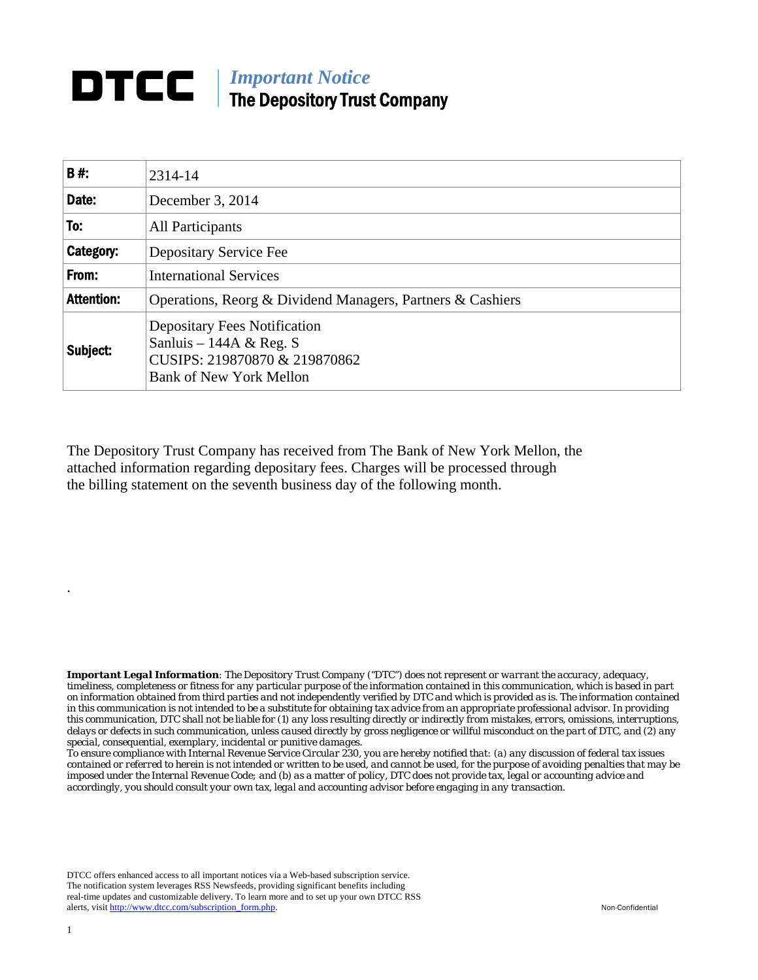## *Important Notice*  The Depository Trust Company

| B#:               | 2314-14                                                                                                                           |
|-------------------|-----------------------------------------------------------------------------------------------------------------------------------|
| Date:             | December 3, 2014                                                                                                                  |
| To:               | All Participants                                                                                                                  |
| Category:         | Depositary Service Fee                                                                                                            |
| From:             | <b>International Services</b>                                                                                                     |
| <b>Attention:</b> | Operations, Reorg & Dividend Managers, Partners & Cashiers                                                                        |
| Subject:          | <b>Depositary Fees Notification</b><br>Sanluis – 144A & Reg. S<br>CUSIPS: 219870870 & 219870862<br><b>Bank of New York Mellon</b> |

The Depository Trust Company has received from The Bank of New York Mellon, the attached information regarding depositary fees. Charges will be processed through the billing statement on the seventh business day of the following month.

*Important Legal Information: The Depository Trust Company ("DTC") does not represent or warrant the accuracy, adequacy, timeliness, completeness or fitness for any particular purpose of the information contained in this communication, which is based in part on information obtained from third parties and not independently verified by DTC and which is provided as is. The information contained in this communication is not intended to be a substitute for obtaining tax advice from an appropriate professional advisor. In providing this communication, DTC shall not be liable for (1) any loss resulting directly or indirectly from mistakes, errors, omissions, interruptions, delays or defects in such communication, unless caused directly by gross negligence or willful misconduct on the part of DTC, and (2) any special, consequential, exemplary, incidental or punitive damages.* 

*To ensure compliance with Internal Revenue Service Circular 230, you are hereby notified that: (a) any discussion of federal tax issues contained or referred to herein is not intended or written to be used, and cannot be used, for the purpose of avoiding penalties that may be imposed under the Internal Revenue Code; and (b) as a matter of policy, DTC does not provide tax, legal or accounting advice and accordingly, you should consult your own tax, legal and accounting advisor before engaging in any transaction.*

DTCC offers enhanced access to all important notices via a Web-based subscription service. The notification system leverages RSS Newsfeeds, providing significant benefits including real-time updates and customizable delivery. To learn more and to set up your own DTCC RSS alerts, visit http://www.dtcc.com/subscription\_form.php. Non-Confidential

.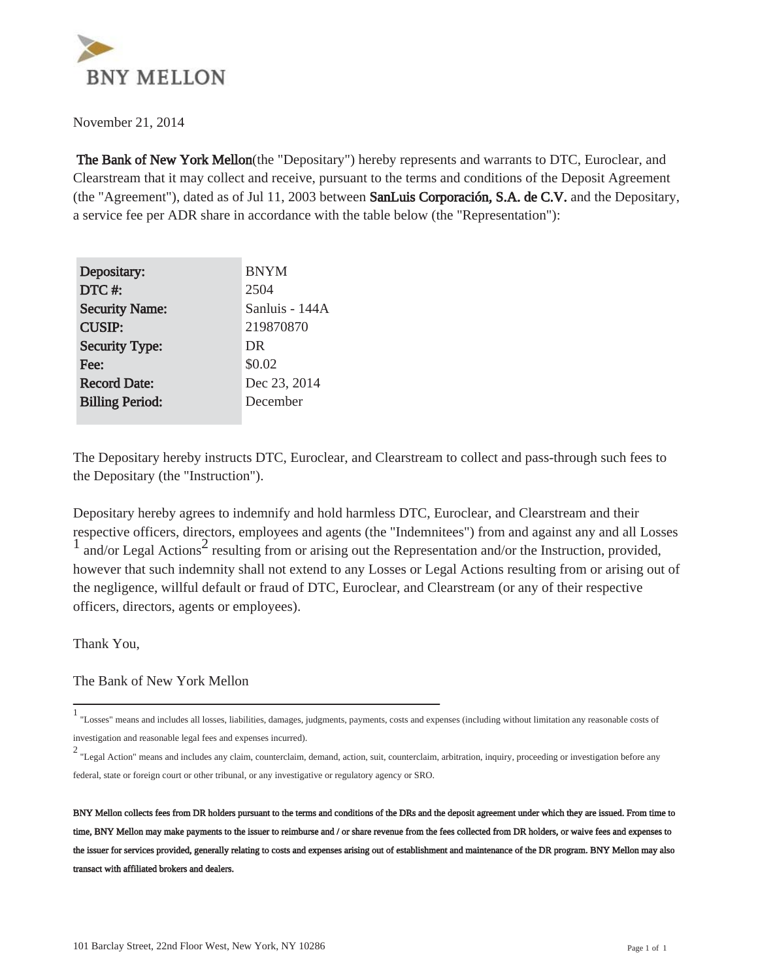

November 21, 2014

 The Bank of New York Mellon(the "Depositary") hereby represents and warrants to DTC, Euroclear, and Clearstream that it may collect and receive, pursuant to the terms and conditions of the Deposit Agreement (the "Agreement"), dated as of Jul 11, 2003 between SanLuis Corporación, S.A. de C.V. and the Depositary, a service fee per ADR share in accordance with the table below (the "Representation"):

| Depositary:            | <b>BNYM</b>    |
|------------------------|----------------|
| DTC#:                  | 2504           |
| <b>Security Name:</b>  | Sanluis - 144A |
| <b>CUSIP:</b>          | 219870870      |
| <b>Security Type:</b>  | DR             |
| Fee:                   | \$0.02         |
| <b>Record Date:</b>    | Dec 23, 2014   |
| <b>Billing Period:</b> | December       |
|                        |                |

The Depositary hereby instructs DTC, Euroclear, and Clearstream to collect and pass-through such fees to the Depositary (the "Instruction").

Depositary hereby agrees to indemnify and hold harmless DTC, Euroclear, and Clearstream and their respective officers, directors, employees and agents (the "Indemnitees") from and against any and all Losses  $\frac{1}{1}$  and/or Legal Actions<sup>2</sup> resulting from or arising out the Representation and/or the Instruction, provided, however that such indemnity shall not extend to any Losses or Legal Actions resulting from or arising out of the negligence, willful default or fraud of DTC, Euroclear, and Clearstream (or any of their respective officers, directors, agents or employees).

Thank You,

The Bank of New York Mellon

<sup>1</sup> "Losses" means and includes all losses, liabilities, damages, judgments, payments, costs and expenses (including without limitation any reasonable costs of investigation and reasonable legal fees and expenses incurred).

<sup>2</sup> "Legal Action" means and includes any claim, counterclaim, demand, action, suit, counterclaim, arbitration, inquiry, proceeding or investigation before any federal, state or foreign court or other tribunal, or any investigative or regulatory agency or SRO.

BNY Mellon collects fees from DR holders pursuant to the terms and conditions of the DRs and the deposit agreement under which they are issued. From time to time, BNY Mellon may make payments to the issuer to reimburse and / or share revenue from the fees collected from DR holders, or waive fees and expenses to the issuer for services provided, generally relating to costs and expenses arising out of establishment and maintenance of the DR program. BNY Mellon may also transact with affiliated brokers and dealers.